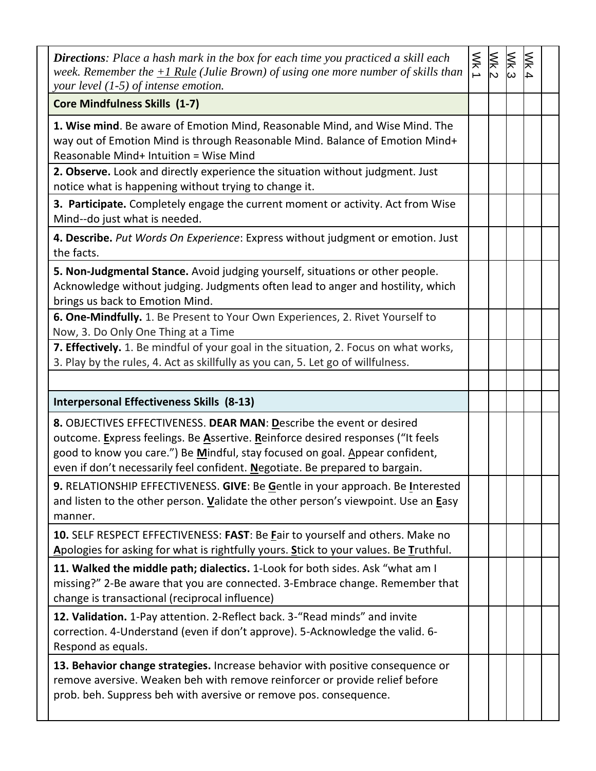| <b>Directions</b> : Place a hash mark in the box for each time you practiced a skill each<br>week. Remember the $+1$ Rule (Julie Brown) of using one more number of skills than<br>your level $(1-5)$ of intense emotion.                                                                                               | $\frac{Wk}{2}$ | MK3 | $Wk$ 4 |  |
|-------------------------------------------------------------------------------------------------------------------------------------------------------------------------------------------------------------------------------------------------------------------------------------------------------------------------|----------------|-----|--------|--|
| <b>Core Mindfulness Skills (1-7)</b>                                                                                                                                                                                                                                                                                    |                |     |        |  |
| 1. Wise mind. Be aware of Emotion Mind, Reasonable Mind, and Wise Mind. The<br>way out of Emotion Mind is through Reasonable Mind. Balance of Emotion Mind+<br>Reasonable Mind+ Intuition = Wise Mind                                                                                                                   |                |     |        |  |
| 2. Observe. Look and directly experience the situation without judgment. Just<br>notice what is happening without trying to change it.                                                                                                                                                                                  |                |     |        |  |
| 3. Participate. Completely engage the current moment or activity. Act from Wise<br>Mind--do just what is needed.                                                                                                                                                                                                        |                |     |        |  |
| 4. Describe. Put Words On Experience: Express without judgment or emotion. Just<br>the facts.                                                                                                                                                                                                                           |                |     |        |  |
| 5. Non-Judgmental Stance. Avoid judging yourself, situations or other people.<br>Acknowledge without judging. Judgments often lead to anger and hostility, which<br>brings us back to Emotion Mind.                                                                                                                     |                |     |        |  |
| 6. One-Mindfully. 1. Be Present to Your Own Experiences, 2. Rivet Yourself to<br>Now, 3. Do Only One Thing at a Time                                                                                                                                                                                                    |                |     |        |  |
| 7. Effectively. 1. Be mindful of your goal in the situation, 2. Focus on what works,<br>3. Play by the rules, 4. Act as skillfully as you can, 5. Let go of willfulness.                                                                                                                                                |                |     |        |  |
| <b>Interpersonal Effectiveness Skills (8-13)</b>                                                                                                                                                                                                                                                                        |                |     |        |  |
| 8. OBJECTIVES EFFECTIVENESS. DEAR MAN: Describe the event or desired<br>outcome. Express feelings. Be Assertive. Reinforce desired responses ("It feels<br>good to know you care.") Be Mindful, stay focused on goal. Appear confident,<br>even if don't necessarily feel confident. Negotiate. Be prepared to bargain. |                |     |        |  |
| 9. RELATIONSHIP EFFECTIVENESS. GIVE: Be Gentle in your approach. Be Interested<br>and listen to the other person. Validate the other person's viewpoint. Use an Easy<br>manner.                                                                                                                                         |                |     |        |  |
| 10. SELF RESPECT EFFECTIVENESS: FAST: Be Fair to yourself and others. Make no<br>Apologies for asking for what is rightfully yours. Stick to your values. Be Truthful.                                                                                                                                                  |                |     |        |  |
| 11. Walked the middle path; dialectics. 1-Look for both sides. Ask "what am I<br>missing?" 2-Be aware that you are connected. 3-Embrace change. Remember that<br>change is transactional (reciprocal influence)                                                                                                         |                |     |        |  |
| 12. Validation. 1-Pay attention. 2-Reflect back. 3-"Read minds" and invite<br>correction. 4-Understand (even if don't approve). 5-Acknowledge the valid. 6-<br>Respond as equals.                                                                                                                                       |                |     |        |  |
| 13. Behavior change strategies. Increase behavior with positive consequence or<br>remove aversive. Weaken beh with remove reinforcer or provide relief before<br>prob. beh. Suppress beh with aversive or remove pos. consequence.                                                                                      |                |     |        |  |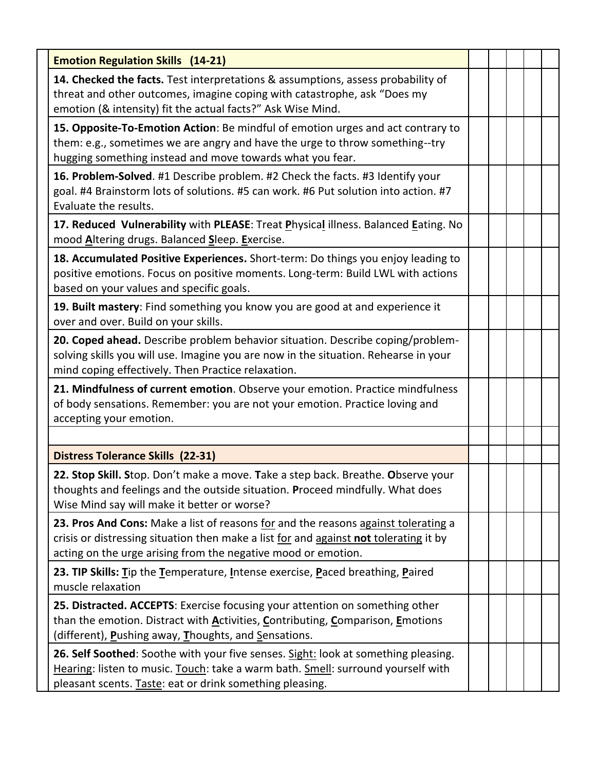| <b>Emotion Regulation Skills (14-21)</b>                                                                                                                                                                                                     |  |  |  |
|----------------------------------------------------------------------------------------------------------------------------------------------------------------------------------------------------------------------------------------------|--|--|--|
| <b>14. Checked the facts.</b> Test interpretations & assumptions, assess probability of<br>threat and other outcomes, imagine coping with catastrophe, ask "Does my<br>emotion (& intensity) fit the actual facts?" Ask Wise Mind.           |  |  |  |
| 15. Opposite-To-Emotion Action: Be mindful of emotion urges and act contrary to<br>them: e.g., sometimes we are angry and have the urge to throw something--try<br>hugging something instead and move towards what you fear.                 |  |  |  |
| 16. Problem-Solved. #1 Describe problem. #2 Check the facts. #3 Identify your<br>goal. #4 Brainstorm lots of solutions. #5 can work. #6 Put solution into action. #7<br>Evaluate the results.                                                |  |  |  |
| 17. Reduced Vulnerability with PLEASE: Treat Physical illness. Balanced Eating. No<br>mood Altering drugs. Balanced Sleep. Exercise.                                                                                                         |  |  |  |
| 18. Accumulated Positive Experiences. Short-term: Do things you enjoy leading to<br>positive emotions. Focus on positive moments. Long-term: Build LWL with actions<br>based on your values and specific goals.                              |  |  |  |
| 19. Built mastery: Find something you know you are good at and experience it<br>over and over. Build on your skills.                                                                                                                         |  |  |  |
| 20. Coped ahead. Describe problem behavior situation. Describe coping/problem-<br>solving skills you will use. Imagine you are now in the situation. Rehearse in your<br>mind coping effectively. Then Practice relaxation.                  |  |  |  |
| 21. Mindfulness of current emotion. Observe your emotion. Practice mindfulness<br>of body sensations. Remember: you are not your emotion. Practice loving and<br>accepting your emotion.                                                     |  |  |  |
|                                                                                                                                                                                                                                              |  |  |  |
| <b>Distress Tolerance Skills (22-31)</b>                                                                                                                                                                                                     |  |  |  |
| 22. Stop Skill. Stop. Don't make a move. Take a step back. Breathe. Observe your<br>thoughts and feelings and the outside situation. Proceed mindfully. What does<br>Wise Mind say will make it better or worse?                             |  |  |  |
| 23. Pros And Cons: Make a list of reasons for and the reasons against tolerating a<br>crisis or distressing situation then make a list for and against not tolerating it by<br>acting on the urge arising from the negative mood or emotion. |  |  |  |
| 23. TIP Skills: Tip the Temperature, Intense exercise, Paced breathing, Paired<br>muscle relaxation                                                                                                                                          |  |  |  |
| 25. Distracted. ACCEPTS: Exercise focusing your attention on something other<br>than the emotion. Distract with Activities, Contributing, Comparison, Emotions<br>(different), Pushing away, Thoughts, and Sensations.                       |  |  |  |
| 26. Self Soothed: Soothe with your five senses. Sight: look at something pleasing.<br>Hearing: listen to music. Touch: take a warm bath. Smell: surround yourself with<br>pleasant scents. Taste: eat or drink something pleasing.           |  |  |  |